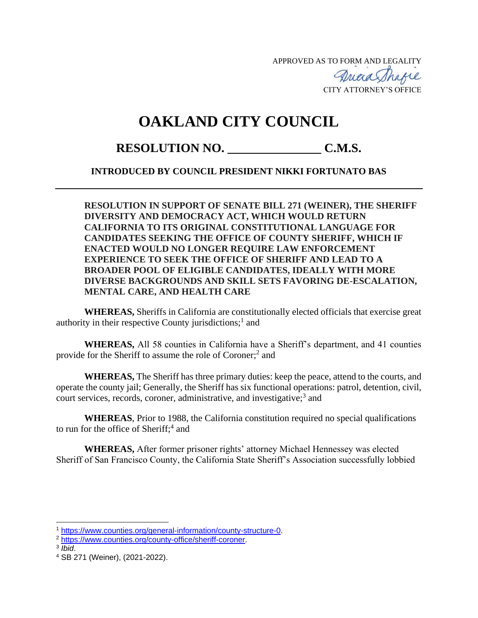APPROVED AS TO FORM AND LEGALITY

Quaa Thagie CITY ATTORNEY'S OFFICE

## **OAKLAND CITY COUNCIL**

RESOLUTION NO. C.M.S.

## **INTRODUCED BY COUNCIL PRESIDENT NIKKI FORTUNATO BAS**

**RESOLUTION IN SUPPORT OF SENATE BILL 271 (WEINER), THE SHERIFF DIVERSITY AND DEMOCRACY ACT, WHICH WOULD RETURN CALIFORNIA TO ITS ORIGINAL CONSTITUTIONAL LANGUAGE FOR CANDIDATES SEEKING THE OFFICE OF COUNTY SHERIFF, WHICH IF ENACTED WOULD NO LONGER REQUIRE LAW ENFORCEMENT EXPERIENCE TO SEEK THE OFFICE OF SHERIFF AND LEAD TO A BROADER POOL OF ELIGIBLE CANDIDATES, IDEALLY WITH MORE DIVERSE BACKGROUNDS AND SKILL SETS FAVORING DE-ESCALATION, MENTAL CARE, AND HEALTH CARE**

**WHEREAS,** Sheriffs in California are constitutionally elected officials that exercise great authority in their respective County jurisdictions;<sup>1</sup> and

**WHEREAS,** All 58 counties in California have a Sheriff's department, and 41 counties provide for the Sheriff to assume the role of Coroner;<sup>2</sup> and

**WHEREAS,** The Sheriff has three primary duties: keep the peace, attend to the courts, and operate the county jail; Generally, the Sheriff has six functional operations: patrol, detention, civil, court services, records, coroner, administrative, and investigative;<sup>3</sup> and

**WHEREAS**, Prior to 1988, the California constitution required no special qualifications to run for the office of Sheriff;<sup>4</sup> and

**WHEREAS,** After former prisoner rights' attorney Michael Hennessey was elected Sheriff of San Francisco County, the California State Sheriff's Association successfully lobbied

3 *Ibid*.

<sup>1</sup> [https://www.counties.org/general-information/county-structure-0.](https://www.counties.org/general-information/county-structure-0)

<sup>2</sup> [https://www.counties.org/county-office/sheriff-coroner.](https://www.counties.org/county-office/sheriff-coroner)

<sup>4</sup> SB 271 (Weiner), (2021-2022).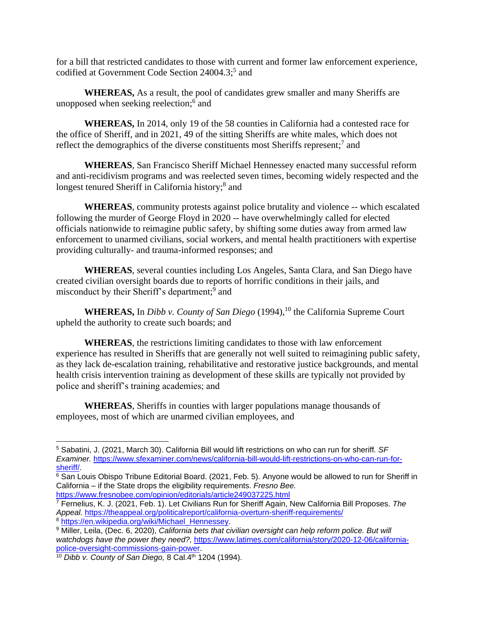for a bill that restricted candidates to those with current and former law enforcement experience, codified at Government Code Section 24004.3; 5 and

**WHEREAS,** As a result, the pool of candidates grew smaller and many Sheriffs are unopposed when seeking reelection; 6 and

**WHEREAS,** In 2014, only 19 of the 58 counties in California had a contested race for the office of Sheriff, and in 2021, 49 of the sitting Sheriffs are white males, which does not reflect the demographics of the diverse constituents most Sheriffs represent;<sup>7</sup> and

**WHEREAS**, San Francisco Sheriff Michael Hennessey enacted many successful reform and anti-recidivism programs and was reelected seven times, becoming widely respected and the longest tenured Sheriff in California history;<sup>8</sup> and

**WHEREAS**, community protests against police brutality and violence -- which escalated following the murder of George Floyd in 2020 -- have overwhelmingly called for elected officials nationwide to reimagine public safety, by shifting some duties away from armed law enforcement to unarmed civilians, social workers, and mental health practitioners with expertise providing culturally- and trauma-informed responses; and

**WHEREAS**, several counties including Los Angeles, Santa Clara, and San Diego have created civilian oversight boards due to reports of horrific conditions in their jails, and misconduct by their Sheriff's department;<sup>9</sup> and

**WHEREAS,** In *Dibb v. County of San Diego* (1994),<sup>10</sup> the California Supreme Court upheld the authority to create such boards; and

**WHEREAS**, the restrictions limiting candidates to those with law enforcement experience has resulted in Sheriffs that are generally not well suited to reimagining public safety, as they lack de-escalation training, rehabilitative and restorative justice backgrounds, and mental health crisis intervention training as development of these skills are typically not provided by police and sheriff's training academies; and

**WHEREAS**, Sheriffs in counties with larger populations manage thousands of employees, most of which are unarmed civilian employees, and

<sup>5</sup> Sabatini, J. (2021, March 30). California Bill would lift restrictions on who can run for sheriff*. SF Examiner.* [https://www.sfexaminer.com/news/california-bill-would-lift-restrictions-on-who-can-run-for](https://www.sfexaminer.com/news/california-bill-would-lift-restrictions-on-who-can-run-for-sheriff/)[sheriff/.](https://www.sfexaminer.com/news/california-bill-would-lift-restrictions-on-who-can-run-for-sheriff/)

 $6$  San Louis Obispo Tribune Editorial Board. (2021, Feb. 5). Anyone would be allowed to run for Sheriff in California – if the State drops the eligibility requirements. *Fresno Bee.* <https://www.fresnobee.com/opinion/editorials/article249037225.html>

<sup>7</sup> Fernelius, K. J. (2021, Feb. 1). Let Civilians Run for Sheriff Again, New California Bill Proposes. *The Appeal.* <https://theappeal.org/politicalreport/california-overturn-sheriff-requirements/>

<sup>8</sup> [https://en.wikipedia.org/wiki/Michael\\_Hennessey.](https://en.wikipedia.org/wiki/Michael_Hennessey)

<sup>9</sup> Miller, Leila, (Dec. 6, 2020), *California bets that civilian oversight can help reform police. But will watchdogs have the power they need?,* [https://www.latimes.com/california/story/2020-12-06/california](https://www.latimes.com/california/story/2020-12-06/california-police-oversight-commissions-gain-power)[police-oversight-commissions-gain-power.](https://www.latimes.com/california/story/2020-12-06/california-police-oversight-commissions-gain-power)

<sup>&</sup>lt;sup>10</sup> *Dibb v. County of San Diego, 8 Cal.4<sup>th</sup> 1204 (1994).*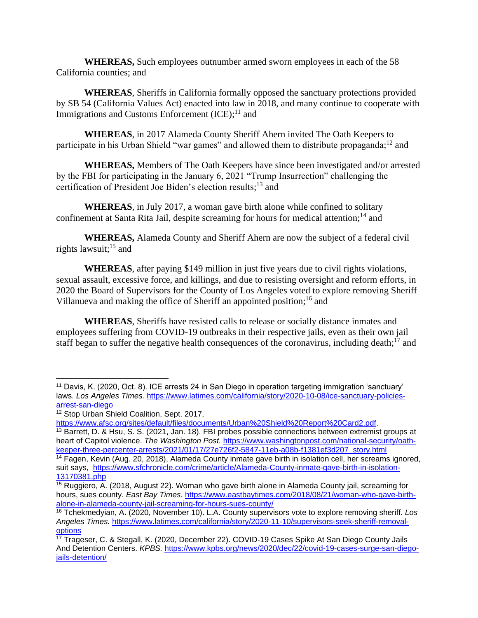**WHEREAS,** Such employees outnumber armed sworn employees in each of the 58 California counties; and

**WHEREAS**, Sheriffs in California formally opposed the sanctuary protections provided by SB 54 (California Values Act) enacted into law in 2018, and many continue to cooperate with Immigrations and Customs Enforcement (ICE);<sup>11</sup> and

**WHEREAS**, in 2017 Alameda County Sheriff Ahern invited The Oath Keepers to participate in his Urban Shield "war games" and allowed them to distribute propaganda;<sup>12</sup> and

**WHEREAS,** Members of The Oath Keepers have since been investigated and/or arrested by the FBI for participating in the January 6, 2021 "Trump Insurrection" challenging the certification of President Joe Biden's election results;<sup>13</sup> and

**WHEREAS**, in July 2017, a woman gave birth alone while confined to solitary confinement at Santa Rita Jail, despite screaming for hours for medical attention;<sup>14</sup> and

**WHEREAS,** Alameda County and Sheriff Ahern are now the subject of a federal civil rights lawsuit; <sup>15</sup> and

**WHEREAS**, after paying \$149 million in just five years due to civil rights violations, sexual assault, excessive force, and killings, and due to resisting oversight and reform efforts, in 2020 the Board of Supervisors for the County of Los Angeles voted to explore removing Sheriff Villanueva and making the office of Sheriff an appointed position;<sup>16</sup> and

**WHEREAS**, Sheriffs have resisted calls to release or socially distance inmates and employees suffering from COVID-19 outbreaks in their respective jails, even as their own jail staff began to suffer the negative health consequences of the coronavirus, including death;<sup>17</sup> and

<sup>11</sup> Davis, K. (2020, Oct. 8). ICE arrests 24 in San Diego in operation targeting immigration 'sanctuary' laws. *Los Angeles Times.* [https://www.latimes.com/california/story/2020-10-08/ice-sanctuary-policies](https://www.latimes.com/california/story/2020-10-08/ice-sanctuary-policies-arrest-san-diego)[arrest-san-diego](https://www.latimes.com/california/story/2020-10-08/ice-sanctuary-policies-arrest-san-diego)

<sup>&</sup>lt;sup>12</sup> Stop Urban Shield Coalition, Sept. 2017,

[https://www.afsc.org/sites/default/files/documents/Urban%20Shield%20Report%20Card2.pdf.](https://www.afsc.org/sites/default/files/documents/Urban%20Shield%20Report%20Card2.pdf)

<sup>&</sup>lt;sup>13</sup> Barrett, D. & Hsu, S. S. (2021, Jan. 18). FBI probes possible connections between extremist groups at heart of Capitol violence. *The Washington Post.* [https://www.washingtonpost.com/national-security/oath](https://www.washingtonpost.com/national-security/oath-keeper-three-percenter-arrests/2021/01/17/27e726f2-5847-11eb-a08b-f1381ef3d207_story.html)[keeper-three-percenter-arrests/2021/01/17/27e726f2-5847-11eb-a08b-f1381ef3d207\\_story.html](https://www.washingtonpost.com/national-security/oath-keeper-three-percenter-arrests/2021/01/17/27e726f2-5847-11eb-a08b-f1381ef3d207_story.html)

<sup>14</sup> Fagen, Kevin (Aug. 20, 2018), Alameda County inmate gave birth in isolation cell, her screams ignored, suit says, [https://www.sfchronicle.com/crime/article/Alameda-County-inmate-gave-birth-in-isolation-](https://www.sfchronicle.com/crime/article/Alameda-County-inmate-gave-birth-in-isolation-13170381.php)[13170381.php](https://www.sfchronicle.com/crime/article/Alameda-County-inmate-gave-birth-in-isolation-13170381.php)

<sup>&</sup>lt;sup>15</sup> Ruggiero, A. (2018, August 22). Woman who gave birth alone in Alameda County jail, screaming for hours, sues county. *East Bay Times.* [https://www.eastbaytimes.com/2018/08/21/woman-who-gave-birth](https://www.eastbaytimes.com/2018/08/21/woman-who-gave-birth-alone-in-alameda-county-jail-screaming-for-hours-sues-county/)[alone-in-alameda-county-jail-screaming-for-hours-sues-county/](https://www.eastbaytimes.com/2018/08/21/woman-who-gave-birth-alone-in-alameda-county-jail-screaming-for-hours-sues-county/)

<sup>16</sup> Tchekmedyian, A. (2020, November 10). L.A. County supervisors vote to explore removing sheriff. *Los Angeles Times.* [https://www.latimes.com/california/story/2020-11-10/supervisors-seek-sheriff-removal](https://www.latimes.com/california/story/2020-11-10/supervisors-seek-sheriff-removal-options)[options](https://www.latimes.com/california/story/2020-11-10/supervisors-seek-sheriff-removal-options)

 $\frac{17}{17}$  Trageser, C. & Stegall, K. (2020, December 22). COVID-19 Cases Spike At San Diego County Jails And Detention Centers. *KPBS.* [https://www.kpbs.org/news/2020/dec/22/covid-19-cases-surge-san-diego](https://www.kpbs.org/news/2020/dec/22/covid-19-cases-surge-san-diego-jails-detention/)[jails-detention/](https://www.kpbs.org/news/2020/dec/22/covid-19-cases-surge-san-diego-jails-detention/)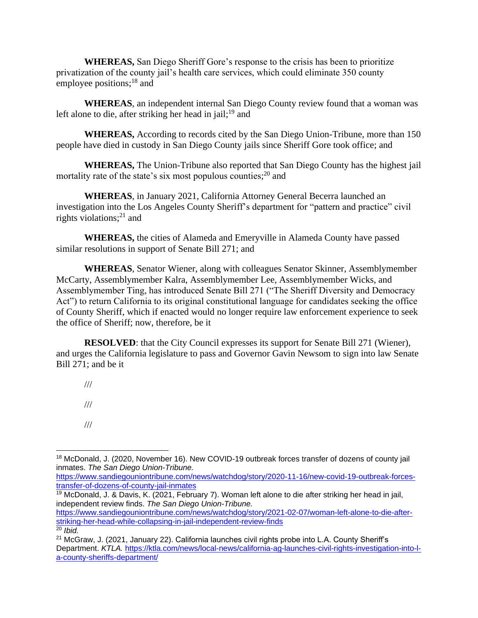**WHEREAS,** San Diego Sheriff Gore's response to the crisis has been to prioritize privatization of the county jail's health care services, which could eliminate 350 county employee positions;<sup>18</sup> and

**WHEREAS**, an independent internal San Diego County review found that a woman was left alone to die, after striking her head in jail;<sup>19</sup> and

**WHEREAS,** According to records cited by the San Diego Union-Tribune, more than 150 people have died in custody in San Diego County jails since Sheriff Gore took office; and

**WHEREAS,** The Union-Tribune also reported that San Diego County has the highest jail mortality rate of the state's six most populous counties;<sup>20</sup> and

**WHEREAS**, in January 2021, California Attorney General Becerra launched an investigation into the Los Angeles County Sheriff's department for "pattern and practice" civil rights violations; <sup>21</sup> and

**WHEREAS,** the cities of Alameda and Emeryville in Alameda County have passed similar resolutions in support of Senate Bill 271; and

**WHEREAS**, Senator Wiener, along with colleagues Senator Skinner, Assemblymember McCarty, Assemblymember Kalra, Assemblymember Lee, Assemblymember Wicks, and Assemblymember Ting, has introduced Senate Bill 271 ("The Sheriff Diversity and Democracy Act") to return California to its original constitutional language for candidates seeking the office of County Sheriff, which if enacted would no longer require law enforcement experience to seek the office of Sheriff; now, therefore, be it

**RESOLVED**: that the City Council expresses its support for Senate Bill 271 (Wiener), and urges the California legislature to pass and Governor Gavin Newsom to sign into law Senate Bill 271; and be it

///

///

///

[https://www.sandiegouniontribune.com/news/watchdog/story/2020-11-16/new-covid-19-outbreak-forces](https://www.sandiegouniontribune.com/news/watchdog/story/2020-11-16/new-covid-19-outbreak-forces-transfer-of-dozens-of-county-jail-inmates)[transfer-of-dozens-of-county-jail-inmates](https://www.sandiegouniontribune.com/news/watchdog/story/2020-11-16/new-covid-19-outbreak-forces-transfer-of-dozens-of-county-jail-inmates)

<sup>19</sup> McDonald, J. & Davis, K. (2021, February 7). Woman left alone to die after striking her head in jail, independent review finds. *The San Diego Union-Tribune.* 

[https://www.sandiegouniontribune.com/news/watchdog/story/2021-02-07/woman-left-alone-to-die-after](https://www.sandiegouniontribune.com/news/watchdog/story/2021-02-07/woman-left-alone-to-die-after-striking-her-head-while-collapsing-in-jail-independent-review-finds)[striking-her-head-while-collapsing-in-jail-independent-review-finds](https://www.sandiegouniontribune.com/news/watchdog/story/2021-02-07/woman-left-alone-to-die-after-striking-her-head-while-collapsing-in-jail-independent-review-finds) <sup>20</sup> *Ibid.*

<sup>&</sup>lt;sup>18</sup> McDonald, J. (2020, November 16). New COVID-19 outbreak forces transfer of dozens of county jail inmates. *The San Diego Union-Tribune.* 

<sup>&</sup>lt;sup>21</sup> McGraw, J. (2021, January 22). California launches civil rights probe into L.A. County Sheriff's Department. *KTLA.* [https://ktla.com/news/local-news/california-ag-launches-civil-rights-investigation-into-l](https://ktla.com/news/local-news/california-ag-launches-civil-rights-investigation-into-l-a-county-sheriffs-department/)[a-county-sheriffs-department/](https://ktla.com/news/local-news/california-ag-launches-civil-rights-investigation-into-l-a-county-sheriffs-department/)